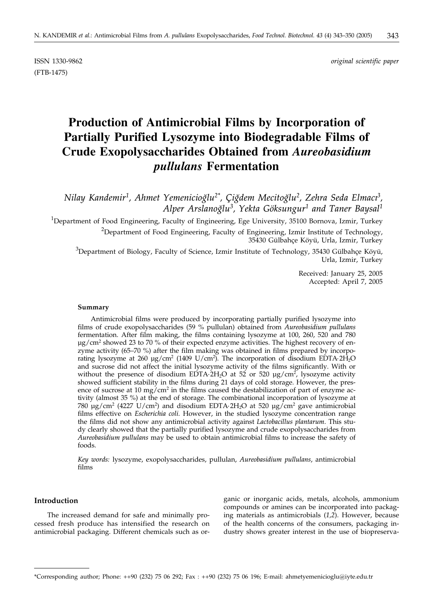(FTB-1475)

ISSN 1330-9862 *original scientific paper*

# **Production of Antimicrobial Films by Incorporation of Partially Purified Lysozyme into Biodegradable Films of Crude Exopolysaccharides Obtained from** *Aureobasidium pullulans* **Fermentation**

 $N$ ilay Kandemir<sup>1</sup>, Ahmet Yemenicioğlu<sup>2\*</sup>, Çiğdem Mecitoğlu<sup>2</sup>, Zehra Seda Elmacı<sup>3</sup>, *Alper Arslanog w lu3, Yekta Göksungur1 and Taner Baysal1*

<sup>1</sup>Department of Food Engineering, Faculty of Engineering, Ege University, 35100 Bornova, Izmir, Turkey  $^{2}$ Department of Food Engineering, Faculty of Engineering, Izmir Institute of Technology, 35430 Gülbahçe Köyü, Urla, Izmir, Turkey

 $^3$ Department of Biology, Faculty of Science, Izmir Institute of Technology, 35430 Gülbahçe Köyü, Urla, Izmir, Turkey

> Received: January 25, 2005 Accepted: April 7, 2005

#### **Summary**

Antimicrobial films were produced by incorporating partially purified lysozyme into films of crude exopolysaccharides (59 % pullulan) obtained from *Aureobasidium pullulans* fermentation. After film making, the films containing lysozyme at 100, 260, 520 and 780  $\mu$ g/cm<sup>2</sup> showed 23 to 70 % of their expected enzyme activities. The highest recovery of enzyme activity (65–70 %) after the film making was obtained in films prepared by incorporating lysozyme at 260 µg/cm<sup>2</sup> (1409 U/cm<sup>2</sup>). The incorporation of disodium EDTA·2H<sub>2</sub>O and sucrose did not affect the initial lysozyme activity of the films significantly. With or without the presence of disodium EDTA $\cdot$ 2H<sub>2</sub>O at 52 or 520 µg/cm<sup>2</sup>, lysozyme activity showed sufficient stability in the films during 21 days of cold storage. However, the presence of sucrose at 10 mg/cm<sup>2</sup> in the films caused the destabilization of part of enzyme activity (almost 35 %) at the end of storage. The combinational incorporation of lysozyme at 780  $\mu$ g/cm<sup>2</sup> (4227 U/cm<sup>2</sup>) and disodium EDTA-2H<sub>2</sub>O at 520  $\mu$ g/cm<sup>2</sup> gave antimicrobial films effective on *Escherichia coli*. However, in the studied lysozyme concentration range the films did not show any antimicrobial activity against *Lactobacillus plantarum*. This study clearly showed that the partially purified lysozyme and crude exopolysaccharides from *Aureobasidium pullulans* may be used to obtain antimicrobial films to increase the safety of foods.

*Key words:* lysozyme, exopolysaccharides, pullulan, *Aureobasidium pullulans*, antimicrobial films

## **Introduction**

The increased demand for safe and minimally processed fresh produce has intensified the research on antimicrobial packaging. Different chemicals such as organic or inorganic acids, metals, alcohols, ammonium compounds or amines can be incorporated into packaging materials as antimicrobials (*1,2*). However, because of the health concerns of the consumers, packaging industry shows greater interest in the use of biopreserva-

<sup>\*</sup>Corresponding author; Phone: ++90 (232) 75 06 292; Fax : ++90 (232) 75 06 196; E-mail: ahmetyemenicioglu@iyte.edu.tr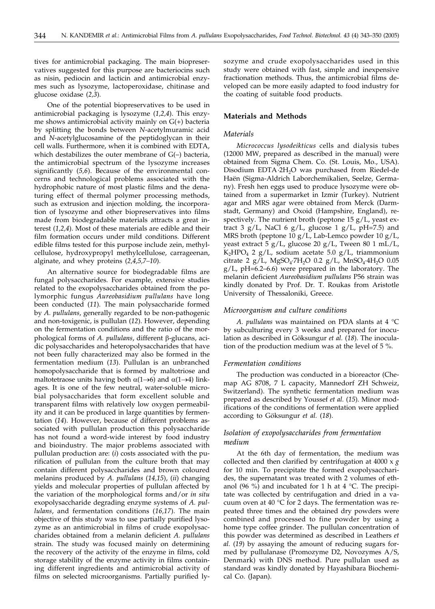tives for antimicrobial packaging. The main biopreservatives suggested for this purpose are bacteriocins such as nisin, pediocin and lacticin and antimicrobial enzymes such as lysozyme, lactoperoxidase, chitinase and glucose oxidase (*2,3*).

One of the potential biopreservatives to be used in antimicrobial packaging is lysozyme (*1,2,4*). This enzyme shows antimicrobial activity mainly on G(+) bacteria by splitting the bonds between *N*-acetylmuramic acid and *N*-acetylglucosamine of the peptidoglycan in their cell walls. Furthermore, when it is combined with EDTA, which destabilizes the outer membrane of G(–) bacteria, the antimicrobial spectrum of the lysozyme increases significantly (*5,6*). Because of the environmental concerns and technological problems associated with the hydrophobic nature of most plastic films and the denaturing effect of thermal polymer processing methods, such as extrusion and injection molding, the incorporation of lysozyme and other biopreservatives into films made from biodegradable materials attracts a great interest (*1,2,4*). Most of these materials are edible and their film formation occurs under mild conditions. Different edible films tested for this purpose include zein, methylcellulose, hydroxypropyl methylcellulose, carrageenan, alginate, and whey proteins (*2,4,5,7–10*).

An alternative source for biodegradable films are fungal polysaccharides. For example, extensive studies related to the exopolysaccharides obtained from the polymorphic fungus *Aureobasidium pullulans* have long been conducted (*11*). The main polysaccharide formed by *A. pullulans*, generally regarded to be non-pathogenic and non-toxigenic, is pullulan (*12*). However, depending on the fermentation conditions and the ratio of the morphological forms of *A. pullulans*, different β-glucans, acidic polysaccharides and heteropolysaccharides that have not been fully characterized may also be formed in the fermentation medium (*13*). Pullulan is an unbranched homopolysaccharide that is formed by maltotriose and maltotetraose units having both  $\alpha(1\rightarrow 6)$  and  $\alpha(1\rightarrow 4)$  linkages. It is one of the few neutral, water-soluble microbial polysaccharides that form excellent soluble and transparent films with relatively low oxygen permeability and it can be produced in large quantities by fermentation (*14*). However, because of different problems associated with pullulan production this polysaccharide has not found a word-wide interest by food industry and bioindustry. The major problems associated with pullulan production are: (*i*) costs associated with the purification of pullulan from the culture broth that may contain different polysaccharides and brown coloured melanins produced by *A. pullulans* (*14,15*), (*ii*) changing yields and molecular properties of pullulan affected by the variation of the morphological forms and/or *in situ* exopolysaccharide degrading enzyme systems of *A. pullulans*, and fermentation conditions (*16,17*). The main objective of this study was to use partially purified lysozyme as an antimicrobial in films of crude exopolysaccharides obtained from a melanin deficient *A. pullulans* strain. The study was focused mainly on determining the recovery of the activity of the enzyme in films, cold storage stability of the enzyme activity in films containing different ingredients and antimicrobial activity of films on selected microorganisms. Partially purified lysozyme and crude exopolysaccharides used in this study were obtained with fast, simple and inexpensive fractionation methods. Thus, the antimicrobial films developed can be more easily adapted to food industry for the coating of suitable food products.

## **Materials and Methods**

#### *Materials*

*Micrococcus lysodeikticus* cells and dialysis tubes (12000 MW, prepared as described in the manual) were obtained from Sigma Chem. Co. (St. Louis, Mo., USA). Disodium EDTA 2H<sub>2</sub>O was purchased from Riedel-de Haën (Sigma-Aldrich Laborchemikalien, Seelze, Germany). Fresh hen eggs used to produce lysozyme were obtained from a supermarket in Izmir (Turkey). Nutrient agar and MRS agar were obtained from Merck (Darmstadt, Germany) and Oxoid (Hampshire, England), respectively. The nutrient broth (peptone 15 g/L, yeast extract 3  $g/L$ , NaCl 6  $g/L$ , glucose 1  $g/L$ , pH=7.5) and MRS broth (peptone 10 g/L, Lab-Lemco powder 10 g/L, yeast extract 5 g/L, glucose 20 g/L, Tween 80 1 mL/L,  $K_2HPO_4$  2 g/L, sodium acetate 5.0 g/L, triammonium citrate 2 g/L,  $MgSO_4$ ·7H<sub>2</sub>O 0.2 g/L,  $MnSO_4$ ·4H<sub>2</sub>O 0.05  $g/L$ , pH=6.2–6.6) were prepared in the laboratory. The melanin deficient *Aureobasidium pullulans* P56 strain was kindly donated by Prof. Dr. T. Roukas from Aristotle University of Thessaloniki, Greece.

#### *Microorganism and culture conditions*

*A. pullulans* was maintained on PDA slants at 4 °C by subculturing every 3 weeks and prepared for inoculation as described in Göksungur *et al.* (*18*). The inoculation of the production medium was at the level of 5 %.

#### *Fermentation conditions*

The production was conducted in a bioreactor (Chemap AG 8708, 7 L capacity, Mannedorf ZH Schweiz, Switzerland). The synthetic fermentation medium was prepared as described by Youssef *et al.* (*15*). Minor modifications of the conditions of fermentation were applied according to Göksungur *et al.* (*18*).

## *Isolation of exopolysaccharides from fermentation medium*

At the 6th day of fermentation, the medium was collected and then clarified by centrifugation at 4000 x *g* for 10 min. To precipitate the formed exopolysaccharides, the supernatant was treated with 2 volumes of ethanol (96 %) and incubated for 1 h at 4  $\degree$ C. The precipitate was collected by centrifugation and dried in a vacuum oven at 40  $\degree$ C for 2 days. The fermentation was repeated three times and the obtained dry powders were combined and processed to fine powder by using a home type coffee grinder. The pullulan concentration of this powder was determined as described in Leathers *et al.* (*19*) by assaying the amount of reducing sugars formed by pullulanase (Promozyme D2, Novozymes A/S, Denmark) with DNS method. Pure pullulan used as standard was kindly donated by Hayashibara Biochemical Co. (Japan).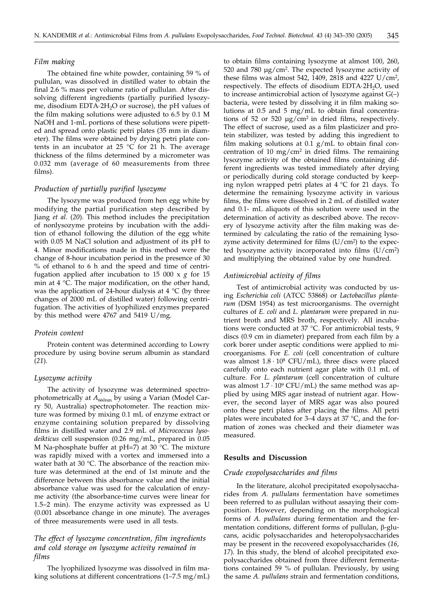#### *Film making*

The obtained fine white powder, containing 59 % of pullulan, was dissolved in distilled water to obtain the final 2.6 % mass per volume ratio of pullulan. After dissolving different ingredients (partially purified lysozyme, disodium EDTA·2H<sub>2</sub>O or sucrose), the pH values of the film making solutions were adjusted to 6.5 by 0.1 M NaOH and 1-mL portions of these solutions were pipetted and spread onto plastic petri plates (35 mm in diameter). The films were obtained by drying petri plate contents in an incubator at 25  $^{\circ}$ C for 21 h. The average thickness of the films determined by a micrometer was 0.032 mm (average of 60 measurements from three films).

## *Production of partially purified lysozyme*

The lysozyme was produced from hen egg white by modifying the partial purification step described by Jiang *et al*. (*20*). This method includes the precipitation of nonlysozyme proteins by incubation with the addition of ethanol following the dilution of the egg white with 0.05 M NaCl solution and adjustment of its pH to 4. Minor modifications made in this method were the change of 8-hour incubation period in the presence of 30 % of ethanol to 6 h and the speed and time of centrifugation applied after incubation to 15 000 x *g* for 15 min at 4 °C. The major modification, on the other hand, was the application of 24-hour dialysis at 4  $\rm{°C}$  (by three changes of 2000 mL of distilled water) following centrifugation. The activities of lyophilized enzymes prepared by this method were 4767 and 5419 U/mg.

#### *Protein content*

Protein content was determined according to Lowry procedure by using bovine serum albumin as standard (*21*)*.*

#### *Lysozyme activity*

The activity of lysozyme was determined spectrophotometrically at  $A_{660nm}$  by using a Varian (Model Carry 50, Australia) spectrophotometer. The reaction mixture was formed by mixing 0.1 mL of enzyme extract or enzyme containing solution prepared by dissolving films in distilled water and 2.9 mL of *Micrococcus lysodeikticus* cell suspension (0.26 mg/mL, prepared in 0.05 M Na-phosphate buffer at pH=7) at 30 °C. The mixture was rapidly mixed with a vortex and immersed into a water bath at 30 °C. The absorbance of the reaction mixture was determined at the end of 1st minute and the difference between this absorbance value and the initial absorbance value was used for the calculation of enzyme activity (the absorbance-time curves were linear for 1.5–2 min). The enzyme activity was expressed as U (0.001 absorbance change in one minute). The averages of three measurements were used in all tests.

## *The effect of lysozyme concentration, film ingredients and cold storage on lysozyme activity remained in films*

The lyophilized lysozyme was dissolved in film making solutions at different concentrations (1–7.5 mg/mL) to obtain films containing lysozyme at almost 100, 260, 520 and 780 µg/cm2. The expected lysozyme activity of these films was almost 542, 1409, 2818 and 4227 U/cm2, respectively. The effects of disodium  $EDTA·2H<sub>2</sub>O$ , used to increase antimicrobial action of lysozyme against  $G(-)$ bacteria, were tested by dissolving it in film making solutions at 0.5 and 5 mg/mL to obtain final concentrations of 52 or 520 µg/cm2 in dried films, respectively. The effect of sucrose, used as a film plasticizer and protein stabilizer, was tested by adding this ingredient to film making solutions at  $0.1$  g/mL to obtain final concentration of 10 mg/cm<sup>2</sup> in dried films. The remaining lysozyme activity of the obtained films containing different ingredients was tested immediately after drying or periodically during cold storage conducted by keeping nylon wrapped petri plates at 4 °C for 21 days. To determine the remaining lysozyme activity in various films, the films were dissolved in 2 mL of distilled water and 0.1- mL aliquots of this solution were used in the determination of activity as described above. The recovery of lysozyme activity after the film making was determined by calculating the ratio of the remaining lysozyme activity determined for films  $(U/cm<sup>2</sup>)$  to the expected lysozyme activity incorporated into films (U/cm2) and multiplying the obtained value by one hundred.

## *Antimicrobial activity of films*

Test of antimicrobial activity was conducted by using *Escherichia coli* (ATCC 53868) or *Lactobacillus plantarum* (DSM 1954) as test microorganisms. The overnight cultures of *E. coli* and *L. plantarum* were prepared in nutrient broth and MRS broth, respectively. All incubations were conducted at 37 °C. For antimicrobial tests, 9 discs (0.9 cm in diameter) prepared from each film by a cork borer under aseptic conditions were applied to microorganisms. For *E. coli* (cell concentration of culture was almost  $1.8 \cdot 10^8$  CFU/mL), three discs were placed carefully onto each nutrient agar plate with 0.1 mL of culture. For *L. plantarum* (cell concentration of culture was almost  $1.7 \cdot 10^9$  CFU/mL) the same method was applied by using MRS agar instead of nutrient agar. However, the second layer of MRS agar was also poured onto these petri plates after placing the films. All petri plates were incubated for 3–4 days at 37 °C, and the formation of zones was checked and their diameter was measured.

#### **Results and Discussion**

#### *Crude exopolysaccharides and films*

In the literature, alcohol precipitated exopolysaccharides from *A. pullulans* fermentation have sometimes been referred to as pullulan without assaying their composition. However, depending on the morphological forms of *A. pullulans* during fermentation and the fermentation conditions, different forms of pullulan,  $\beta$ -glucans, acidic polysaccharides and heteropolysaccharides may be present in the recovered exopolysaccharides (*16, 17*). In this study, the blend of alcohol precipitated exopolysaccharides obtained from three different fermentations contained 59 % of pullulan. Previously, by using the same *A. pullulans* strain and fermentation conditions,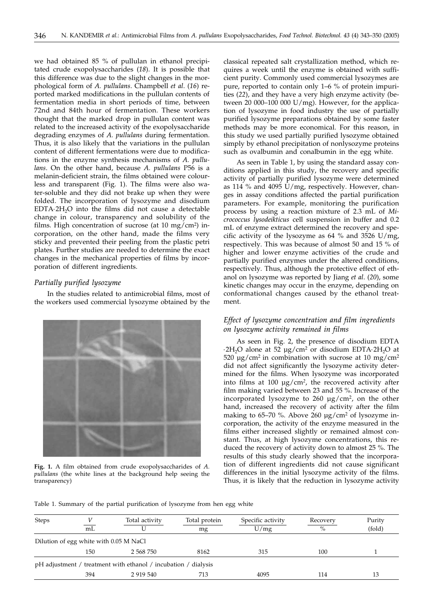we had obtained 85 % of pullulan in ethanol precipitated crude exopolysaccharides (*18*). It is possible that this difference was due to the slight changes in the morphological form of *A. pullulans*. Champbell *et al*. (*16*) reported marked modifications in the pullulan contents of fermentation media in short periods of time, between 72nd and 84th hour of fermentation. These workers thought that the marked drop in pullulan content was related to the increased activity of the exopolysaccharide degrading enzymes of *A. pullulans* during fermentation. Thus, it is also likely that the variations in the pullulan content of different fermentations were due to modifications in the enzyme synthesis mechanisms of *A. pullulans*. On the other hand, because *A. pullulans* P56 is a melanin-deficient strain, the films obtained were colourless and transparent (Fig. 1). The films were also water-soluble and they did not brake up when they were folded. The incorporation of lysozyme and disodium  $EDTA·2H<sub>2</sub>O$  into the films did not cause a detectable change in colour, transparency and solubility of the films. High concentration of sucrose (at  $10 \text{ mg/cm}^2$ ) incorporation, on the other hand, made the films very sticky and prevented their peeling from the plastic petri plates. Further studies are needed to determine the exact changes in the mechanical properties of films by incorporation of different ingredients.

## *Partially purified lysozyme*

In the studies related to antimicrobial films, most of the workers used commercial lysozyme obtained by the



**Fig. 1.** A film obtained from crude exopolysaccharides of *A. pullulans* (the white lines at the background help seeing the transparency)

classical repeated salt crystallization method, which requires a week until the enzyme is obtained with sufficient purity. Commonly used commercial lysozymes are pure, reported to contain only 1–6 % of protein impurities (*22*), and they have a very high enzyme activity (between 20 000–100 000 U/mg). However, for the application of lysozyme in food industry the use of partially purified lysozyme preparations obtained by some faster methods may be more economical. For this reason, in this study we used partially purified lysozyme obtained simply by ethanol precipitation of nonlysozyme proteins such as ovalbumin and conalbumin in the egg white.

As seen in Table 1, by using the standard assay conditions applied in this study, the recovery and specific activity of partially purified lysozyme were determined as 114 % and 4095 U/mg, respectively. However, changes in assay conditions affected the partial purification parameters. For example, monitoring the purification process by using a reaction mixture of 2.3 mL of *Micrococcus lysodeikticus* cell suspension in buffer and 0.2 mL of enzyme extract determined the recovery and specific activity of the lysozyme as 64 % and 3526 U/mg, respectively. This was because of almost 50 and 15 % of higher and lower enzyme activities of the crude and partially purified enzymes under the altered conditions, respectively. Thus, although the protective effect of ethanol on lysozyme was reported by Jiang *et al*. (*20*), some kinetic changes may occur in the enzyme, depending on conformational changes caused by the ethanol treatment.

## *Effect of lysozyme concentration and film ingredients on lysozyme activity remained in films*

As seen in Fig. 2, the presence of disodium EDTA  $\cdot$ 2H<sub>2</sub>O alone at 52 µg/cm<sup>2</sup> or disodium EDTA $\cdot$ 2H<sub>2</sub>O at 520  $\mu$ g/cm<sup>2</sup> in combination with sucrose at 10 mg/cm<sup>2</sup> did not affect significantly the lysozyme activity determined for the films. When lysozyme was incorporated into films at 100 µg/cm*<sup>2</sup>*, the recovered activity after film making varied between 23 and 55 %. Increase of the incorporated lysozyme to 260 µg/cm2, on the other hand, increased the recovery of activity after the film making to  $65-70$  %. Above  $260 \mu g/cm^2$  of lysozyme incorporation, the activity of the enzyme measured in the films either increased slightly or remained almost constant. Thus, at high lysozyme concentrations, this reduced the recovery of activity down to almost 25 %. The results of this study clearly showed that the incorporation of different ingredients did not cause significant differences in the initial lysozyme activity of the films. Thus, it is likely that the reduction in lysozyme activity

Table 1. Summary of the partial purification of lysozyme from hen egg white

| <b>Steps</b> | mL  | Total activity                                                 | Total protein<br>mg | Specific activity<br>U/mg | Recovery<br>$\%$ | Purity<br>(fold) |
|--------------|-----|----------------------------------------------------------------|---------------------|---------------------------|------------------|------------------|
|              |     |                                                                |                     |                           |                  |                  |
|              | 150 | 2 568 750                                                      | 8162                | 315                       | 100              |                  |
|              |     | pH adjustment / treatment with ethanol / incubation / dialysis |                     |                           |                  |                  |
|              | 394 | 2 919 540                                                      | 713                 | 4095                      | 114              | 13               |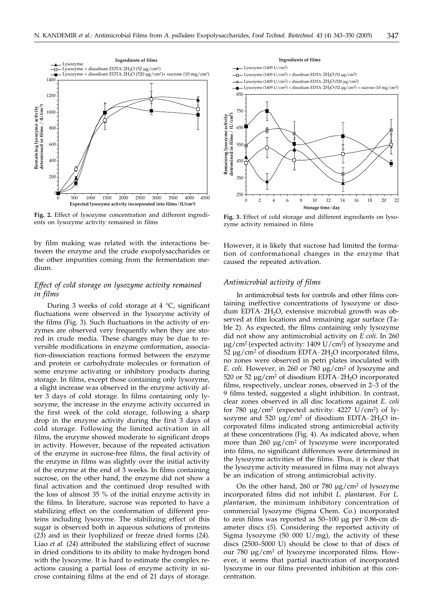

**Fig. 2.** Effect of lysozyme concentration and different ingredients on lysozyme activity remained in films

by film making was related with the interactions between the enzyme and the crude exopolysaccharides or the other impurities coming from the fermentation medium.

## *Effect of cold storage on lysozyme activity remained in films*

During 3 weeks of cold storage at 4 °C, significant fluctuations were observed in the lysozyme activity of the films (Fig. 3). Such fluctuations in the activity of enzymes are observed very frequently when they are stored in crude media. These changes may be due to reversible modifications in enzyme conformation, association-dissociation reactions formed between the enzyme and protein or carbohydrate molecules or formation of some enzyme activating or inhibitory products during storage. In films, except those containing only lysozyme, a slight increase was observed in the enzyme activity after 3 days of cold storage. In films containing only lysozyme, the increase in the enzyme activity occurred in the first week of the cold storage, following a sharp drop in the enzyme activity during the first 3 days of cold storage. Following the limited activation in all films, the enzyme showed moderate to significant drops in activity. However, because of the repeated activation of the enzyme in sucrose-free films, the final activity of the enzyme in films was slightly over the initial activity of the enzyme at the end of 3 weeks. In films containing sucrose, on the other hand, the enzyme did not show a final activation and the continued drop resulted with the loss of almost 35 % of the initial enzyme activity in the films. In literature, sucrose was reported to have a stabilizing effect on the conformation of different proteins including lysozyme. The stabilizing effect of this sugar is observed both in aqueous solutions of proteins (*23*) and in their lyophilized or freeze dried forms (*24*). Liao *et al.* (*24*) attributed the stabilizing effect of sucrose in dried conditions to its ability to make hydrogen bond with the lysozyme. It is hard to estimate the complex reactions causing a partial loss of enzyme activity in sucrose containing films at the end of 21 days of storage.



**Fig. 3.** Effect of cold storage and different ingredients on lysozyme activity remained in films

However, it is likely that sucrose had limited the formation of conformational changes in the enzyme that caused the repeated activation.

## *Antimicrobial activity of films*

In antimicrobial tests for controls and other films containing ineffective concentrations of lysozyme or disodum EDTA $\cdot$  2H<sub>2</sub>O, extensive microbial growth was observed at film locations and remaining agar surface (Table 2). As expected, the films containing only lysozyme did not show any antimicrobial activity on *E coli*. In 260 µg/cm2 (expected activity: 1409 U/cm2) of lysozyme and  $52 \mu$ g/cm<sup>2</sup> of disodium EDTA · 2H<sub>2</sub>O incorporated films, no zones were observed in petri plates inoculated with *E. coli.* However, in 260 or 780  $\mu$ g/cm<sup>2</sup> of lysozyme and 520 or 52  $\mu$ g/cm<sup>2</sup> of disodium EDTA·2H<sub>2</sub>O incorporated films, respectively, unclear zones, observed in 2–3 of the 9 films tested, suggested a slight inhibition. In contrast, clear zones observed in all disc locations against *E. coli* for 780  $\mu$ g/cm<sup>2</sup> (expected activity: 4227 U/cm<sup>2</sup>) of lysozyme and 520  $\mu$ g/cm<sup>2</sup> of disodium EDTA · 2H<sub>2</sub>O incorporated films indicated strong antimicrobial activity at these concentrations (Fig. 4). As indicated above, when more than 260 µg/cm<sup>2</sup> of lysozyme were incorporated into films, no significant differences were determined in the lysozyme activities of the films. Thus, it is clear that the lysozyme activity measured in films may not always be an indication of strong antimicrobial activity.

On the other hand, 260 or 780 µg/cm2 of lysozyme incorporated films did not inhibit *L. plantarum*. For *L. plantarum*, the minimum inhibitory concentration of commercial lysozyme (Sigma Chem. Co.) incorporated to zein films was reported as 50–100 µg per 0.86-cm diameter discs (*5*). Considering the reported activity of Sigma lysozyme (50 000  $U/mg$ ), the activity of these discs (2500–5000 U) should be close to that of discs of our 780 µg/cm2 of lysozyme incorporated films. However, it seems that partial inactivation of incorporated lysozyme in our films prevented inhibition at this concentration.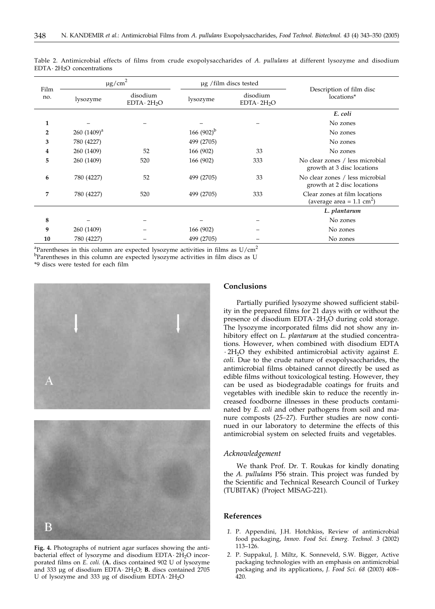| Film<br>no.    | $\mu$ g/cm <sup>2</sup> |                                | µg /film discs tested |                                |                                                                       |  |
|----------------|-------------------------|--------------------------------|-----------------------|--------------------------------|-----------------------------------------------------------------------|--|
|                | lysozyme                | disodium<br>$EDTA \cdot 2H_2O$ | lysozyme              | disodium<br>$EDTA \cdot 2H_2O$ | Description of film disc<br>locations*                                |  |
|                |                         |                                |                       |                                | E. coli                                                               |  |
| 1              |                         |                                |                       |                                | No zones                                                              |  |
| $\overline{2}$ | $260(1409)^a$           |                                | 166 $(902)^{b}$       |                                | No zones                                                              |  |
| 3              | 780 (4227)              |                                | 499 (2705)            |                                | No zones                                                              |  |
| 4              | 260 (1409)              | 52                             | 166 (902)             | 33                             | No zones                                                              |  |
| 5              | 260 (1409)              | 520                            | 166 (902)             | 333                            | No clear zones / less microbial<br>growth at 3 disc locations         |  |
| 6              | 780 (4227)              | 52                             | 499 (2705)            | 33                             | No clear zones / less microbial<br>growth at 2 disc locations         |  |
| 7              | 780 (4227)              | 520                            | 499 (2705)            | 333                            | Clear zones at film locations<br>(average area = $1.1 \text{ cm}^2$ ) |  |
|                |                         |                                |                       |                                | L. plantarum                                                          |  |
| 8              |                         |                                |                       |                                | No zones                                                              |  |
| 9              | 260 (1409)              |                                | 166 (902)             |                                | No zones                                                              |  |
| 10             | 780 (4227)              |                                | 499 (2705)            |                                | No zones                                                              |  |

Table 2. Antimicrobial effects of films from crude exopolysaccharides of *A. pullulans* at different lysozyme and disodium  $EDTA \cdot 2H_2O$  concentrations

<sup>a</sup>Parentheses in this column are expected lysozyme activities in films as  $U/cm^2$ <sup>b</sup>Parentheses in this column are expected lysozyme activities in film discs as U

\*9 discs were tested for each film





**Fig. 4.** Photographs of nutrient agar surfaces showing the antibacterial effect of lysozyme and disodium  $EDTA \cdot 2H_2O$  incorporated films on *E. coli*. (**A.** discs contained 902 U of lysozyme and 333 µg of disodium EDTA · 2H<sub>2</sub>O; **B.** discs contained 2705 U of lysozyme and 333 µg of disodium EDTA $\cdot$  2H<sub>2</sub>O

## **Conclusions**

Partially purified lysozyme showed sufficient stability in the prepared films for 21 days with or without the presence of disodium EDTA $\cdot$  2H<sub>2</sub>O during cold storage. The lysozyme incorporated films did not show any inhibitory effect on *L. plantarum* at the studied concentrations. However, when combined with disodium EDTA × 2H2O they exhibited antimicrobial activity against *E. coli*. Due to the crude nature of exopolysaccharides, the antimicrobial films obtained cannot directly be used as edible films without toxicological testing. However, they can be used as biodegradable coatings for fruits and vegetables with inedible skin to reduce the recently increased foodborne illnesses in these products contaminated by *E. coli* and other pathogens from soil and manure composts (*25–27*). Further studies are now continued in our laboratory to determine the effects of this antimicrobial system on selected fruits and vegetables.

## *Acknowledgement*

We thank Prof. Dr. T. Roukas for kindly donating the *A. pullulans* P56 strain. This project was funded by the Scientific and Technical Research Council of Turkey (TUBITAK) (Project MISAG-221).

#### **References**

- *1.* P. Appendini, J.H. Hotchkiss, Review of antimicrobial food packaging, *Innov. Food Sci. Emerg. Technol. 3* (2002) 113–126.
- *2.* P. Suppakul, J. Miltz, K. Sonneveld, S.W. Bigger, Active packaging technologies with an emphasis on antimicrobial packaging and its applications, *J. Food Sci. 68* (2003) 408– 420.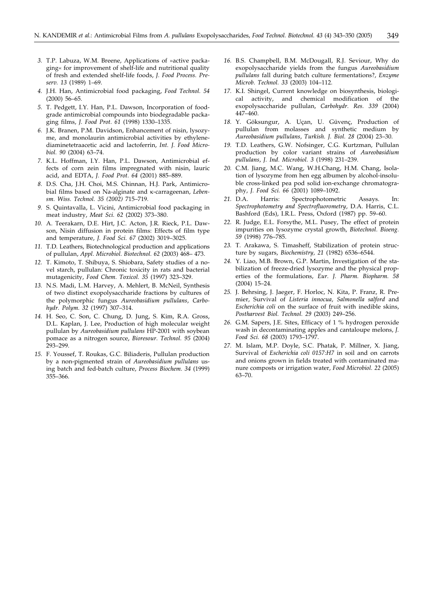- *3.* T.P. Labuza, W.M. Breene, Applications of »active packaging« for improvement of shelf-life and nutritional quality of fresh and extended shelf-life foods, *J. Food Process. Preserv. 13* (1989) 1–69.
- *4.* J.H. Han, Antimicrobial food packaging, *Food Technol. 54* (2000) 56–65*.*
- *5.* T. Pedgett, I.Y. Han, P.L. Dawson, Incorporation of foodgrade antimicrobial compounds into biodegradable packaging films, *J. Food Prot. 61* (1998) 1330–1335.
- *6.* J.K. Branen, P.M. Davidson, Enhancement of nisin, lysozyme, and monolaurin antimicrobial activities by ethylenediaminetetraacetic acid and lactoferrin, *Int. J. Food Microbiol. 90* (2004) 63–74.
- *7.* K.L. Hoffman, I.Y. Han, P.L. Dawson, Antimicrobial effects of corn zein films impregnated with nisin, lauric acid, and EDTA, *J. Food Prot. 64* (2001) 885–889.
- *8.* D.S. Cha, J.H. Choi, M.S. Chinnan, H.J. Park, Antimicrobial films based on Na-alginate and *K*-carrageenan, Leben*sm. Wiss. Technol. 35 (2002)* 715–719*.*
- *9.* S. Quintavalla, L. Vicini, Antimicrobial food packaging in meat industry, *Meat Sci. 62* (2002) 373–380.
- *10.* A. Teerakarn, D.E. Hirt, J.C. Acton, J.R. Rieck, P.L. Dawson, Nisin diffusion in protein films: Effects of film type and temperature, *J. Food Sci. 67* (2002) 3019–3025.
- *11.* T.D. Leathers, Biotechnological production and applications of pullulan, *Appl. Microbiol. Biotechnol. 62* (2003) 468– 473.
- *12.* T. Kimoto, T. Shibuya, S. Shiobara, Safety studies of a novel starch, pullulan: Chronic toxicity in rats and bacterial mutagenicity, *Food Chem. Toxicol. 35* (1997) 323–329.
- *13.* N.S. Madi, L.M. Harvey, A. Mehlert, B. McNeil, Synthesis of two distinct exopolysaccharide fractions by cultures of the polymorphic fungus *Aureobasidium pullulans*, *Carbohydr. Polym. 32* (1997) 307–314.
- *14.* H. Seo, C. Son, C. Chung, D. Jung, S. Kim, R.A. Gross, D.L. Kaplan, J. Lee, Production of high molecular weight pullulan by *Aureobasidium pullulans* HP-2001 with soybean pomace as a nitrogen source, *Bioresour. Technol. 95* (2004) 293–299.
- *15.* F. Youssef, T. Roukas, G.C. Biliaderis, Pullulan production by a non-pigmented strain of *Aureobasidium pullulans* using batch and fed-batch culture, *Process Biochem. 34* (1999) 355–366.
- *16.* B.S. Champbell, B.M. McDougall, R.J. Seviour, Why do exopolysaccharide yields from the fungus *Aureobasidium pullulans* fall during batch culture fermentations?, *Enzyme Microb. Technol. 33* (2003) 104–112.
- *17.* K.I. Shingel, Current knowledge on biosynthesis, biological activity, and chemical modification of the exopolysaccharide pullulan, *Carbohydr. Res. 339* (2004) 447–460.
- *18.* Y. Göksungur, A. Uçan, U. Güvenç, Production of pullulan from molasses and synthetic medium by *Aureobasidium pullulans*, *Turkish. J. Biol. 28* (2004) 23–30.
- *19.* T.D. Leathers, G.W. Nofsinger, C.G. Kurtzman, Pullulan production by color variant strains of *Aureobasidium pullulans*, *J. Ind. Microbiol. 3* (1998) 231–239.
- *20.* C.M. Jiang, M.C. Wang, W.H.Chang, H.M. Chang, Isolation of lysozyme from hen egg albumen by alcohol-insoluble cross-linked pea pod solid ion-exchange chromatography, *J. Food Sci. 66* (2001) 1089–1092.
- *21.* D.A. Harris: Spectrophotometric Assays. In: *Spectrophotometry and Spectrofluorometry*, D.A. Harris, C.L. Bashford (Eds), I.R.L. Press, Oxford (1987) pp. 59–60.
- *22.* R. Judge, E.L. Forsythe, M.L. Pusey, The effect of protein impurities on lysozyme crystal growth, *Biotechnol. Bioeng. 59* (1998) 776–785.
- *23.* T. Arakawa, S. Timasheff, Stabilization of protein structure by sugars, *Biochemistry, 21* (1982) 6536–6544.
- *24.* Y. Liao, M.B. Brown, G.P. Martin, Investigation of the stabilization of freeze-dried lysozyme and the physical properties of the formulations, *Eur. J. Pharm. Biopharm. 58* (2004) 15–24.
- *25.* J. Behrsing, J. Jaeger, F. Horloc, N. Kita, P. Franz, R. Premier, Survival of *Listeria innocua*, *Salmonella salford* and *Escherichia coli* on the surface of fruit with inedible skins, *Postharvest Biol. Technol. 29* (2003) 249–256.
- *26.* G.M. Sapers, J.E. Sites, Efficacy of 1 % hydrogen peroxide wash in decontaminating apples and cantaloupe melons, *J. Food Sci. 68* (2003) 1793–1797.
- *27.* M. Islam, M.P. Doyle, S.C. Phatak, P. Millner, X. Jiang, Survival of *Escherichia coli 0157:H7* in soil and on carrots and onions grown in fields treated with contaminated manure composts or irrigation water, *Food Microbiol. 22* (2005) 63–70.